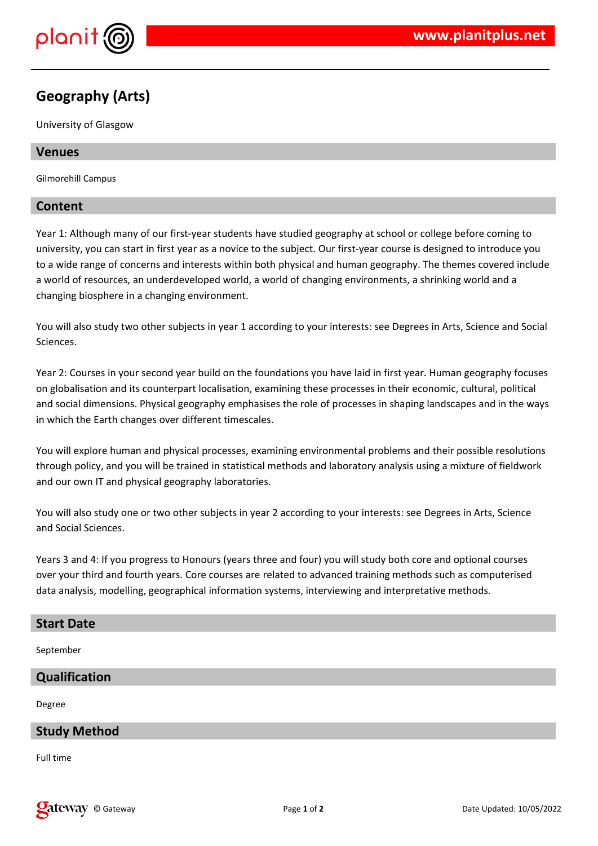

# **Geography (Arts)**

University of Glasgow

# **Venues**

Gilmorehill Campus

# **Content**

Year 1: Although many of our first-year students have studied geography at school or college before coming to university, you can start in first year as a novice to the subject. Our first-year course is designed to introduce you to a wide range of concerns and interests within both physical and human geography. The themes covered include a world of resources, an underdeveloped world, a world of changing environments, a shrinking world and a changing biosphere in a changing environment.

You will also study two other subjects in year 1 according to your interests: see Degrees in Arts, Science and Social Sciences.

Year 2: Courses in your second year build on the foundations you have laid in first year. Human geography focuses on globalisation and its counterpart localisation, examining these processes in their economic, cultural, political and social dimensions. Physical geography emphasises the role of processes in shaping landscapes and in the ways in which the Earth changes over different timescales.

You will explore human and physical processes, examining environmental problems and their possible resolutions through policy, and you will be trained in statistical methods and laboratory analysis using a mixture of fieldwork and our own IT and physical geography laboratories.

You will also study one or two other subjects in year 2 according to your interests: see Degrees in Arts, Science and Social Sciences.

Years 3 and 4: If you progress to Honours (years three and four) you will study both core and optional courses over your third and fourth years. Core courses are related to advanced training methods such as computerised data analysis, modelling, geographical information systems, interviewing and interpretative methods.

#### **Start Date**

September

# **Qualification**

Degree

# **Study Method**

Full time